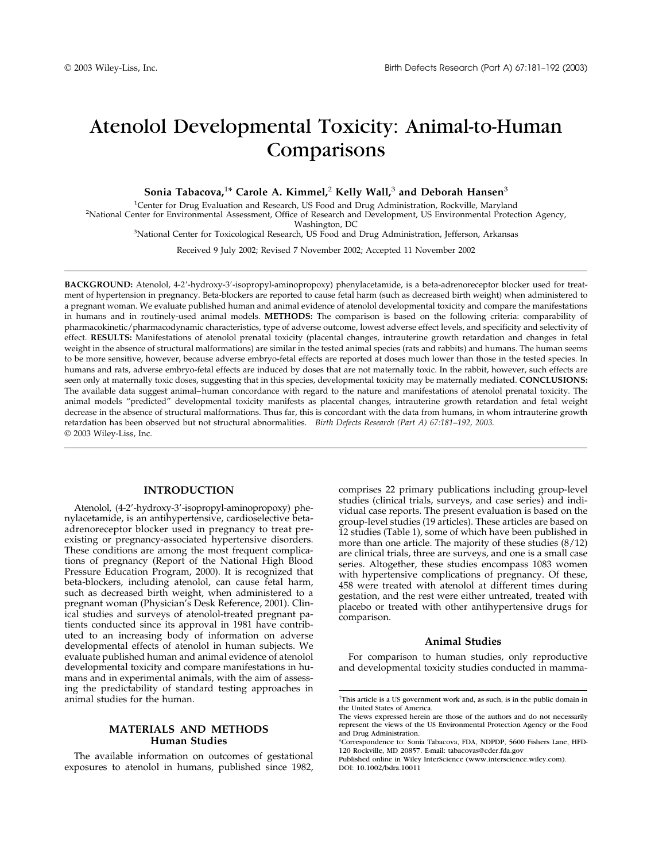# Atenolol Developmental Toxicity: Animal-to-Human **Comparisons**

**Sonia Tabacova,**1\* **Carole A. Kimmel,**<sup>2</sup> **Kelly Wall,**<sup>3</sup> **and Deborah Hansen**<sup>3</sup>

<sup>1</sup>Center for Drug Evaluation and Research, US Food and Drug Administration, Rockville, Maryland Center for Drug Evaluation and Research, US Food and Drug Administration, Rockville, Maryland <sup>2</sup> National Center for Environmental Assessment, Office of Research and Development, US Environmental Protection Agency,

Washington, DC<br><sup>3</sup>National Center for Toxicological Research, US Food and Drug Administration, Jefferson, Arkansas

Received 9 July 2002; Revised 7 November 2002; Accepted 11 November 2002

**BACKGROUND:** Atenolol, 4-2-hydroxy-3-isopropyl-aminopropoxy) phenylacetamide, is a beta-adrenoreceptor blocker used for treatment of hypertension in pregnancy. Beta-blockers are reported to cause fetal harm (such as decreased birth weight) when administered to a pregnant woman. We evaluate published human and animal evidence of atenolol developmental toxicity and compare the manifestations in humans and in routinely-used animal models. **METHODS:** The comparison is based on the following criteria: comparability of pharmacokinetic/pharmacodynamic characteristics, type of adverse outcome, lowest adverse effect levels, and specificity and selectivity of effect. **RESULTS:** Manifestations of atenolol prenatal toxicity (placental changes, intrauterine growth retardation and changes in fetal weight in the absence of structural malformations) are similar in the tested animal species (rats and rabbits) and humans. The human seems to be more sensitive, however, because adverse embryo-fetal effects are reported at doses much lower than those in the tested species. In humans and rats, adverse embryo-fetal effects are induced by doses that are not maternally toxic. In the rabbit, however, such effects are seen only at maternally toxic doses, suggesting that in this species, developmental toxicity may be maternally mediated. **CONCLUSIONS:** The available data suggest animal–human concordance with regard to the nature and manifestations of atenolol prenatal toxicity. The animal models "predicted" developmental toxicity manifests as placental changes, intrauterine growth retardation and fetal weight decrease in the absence of structural malformations. Thus far, this is concordant with the data from humans, in whom intrauterine growth retardation has been observed but not structural abnormalities. *Birth Defects Research (Part A) 67:181–192, 2003.* © 2003 Wiley-Liss, Inc.

#### **INTRODUCTION**

Atenolol, (4-2'-hydroxy-3'-isopropyl-aminopropoxy) phenylacetamide, is an antihypertensive, cardioselective betaadrenoreceptor blocker used in pregnancy to treat preexisting or pregnancy-associated hypertensive disorders. These conditions are among the most frequent complications of pregnancy (Report of the National High Blood Pressure Education Program, 2000). It is recognized that beta-blockers, including atenolol, can cause fetal harm, such as decreased birth weight, when administered to a pregnant woman (Physician's Desk Reference, 2001). Clinical studies and surveys of atenolol-treated pregnant patients conducted since its approval in 1981 have contributed to an increasing body of information on adverse developmental effects of atenolol in human subjects. We evaluate published human and animal evidence of atenolol developmental toxicity and compare manifestations in humans and in experimental animals, with the aim of assessing the predictability of standard testing approaches in animal studies for the human.

## **MATERIALS AND METHODS Human Studies**

The available information on outcomes of gestational exposures to atenolol in humans, published since 1982, comprises 22 primary publications including group-level studies (clinical trials, surveys, and case series) and individual case reports. The present evaluation is based on the group-level studies (19 articles). These articles are based on 12 studies (Table 1), some of which have been published in more than one article. The majority of these studies (8/12) are clinical trials, three are surveys, and one is a small case series. Altogether, these studies encompass 1083 women with hypertensive complications of pregnancy. Of these, 458 were treated with atenolol at different times during gestation, and the rest were either untreated, treated with placebo or treated with other antihypertensive drugs for comparison.

#### **Animal Studies**

For comparison to human studies, only reproductive and developmental toxicity studies conducted in mamma-

<sup>†</sup> This article is a US government work and, as such, is in the public domain in the United States of America.

The views expressed herein are those of the authors and do not necessarily represent the views of the US Environmental Protection Agency or the Food and Drug Administration.

<sup>\*</sup>Correspondence to: Sonia Tabacova, FDA, NDPDP, 5600 Fishers Lane, HFD-120 Rockville, MD 20857. E-mail: tabacovas@cder.fda.gov

Published online in Wiley InterScience (www.interscience.wiley.com). DOI: 10.1002/bdra.10011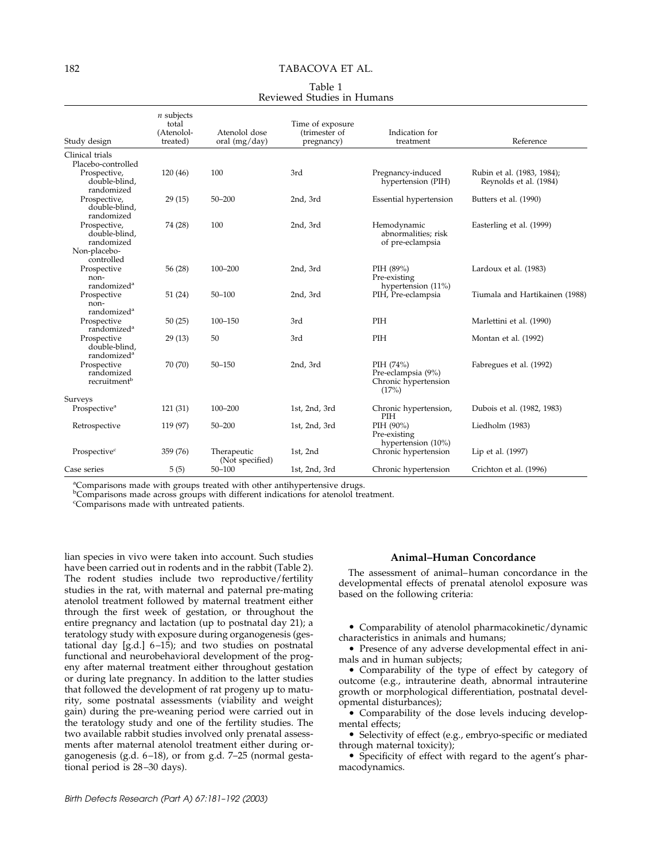### 182 TABACOVA ET AL.

#### Table 1 Reviewed Studies in Humans

| Study design                                                      | $n$ subjects<br>total<br>(Atenolol-<br>treated) | Atenolol dose<br>oral (mg/day) | Time of exposure<br>(trimester of<br>pregnancy) | Indication for<br>treatment                                      | Reference                                            |
|-------------------------------------------------------------------|-------------------------------------------------|--------------------------------|-------------------------------------------------|------------------------------------------------------------------|------------------------------------------------------|
| Clinical trials                                                   |                                                 |                                |                                                 |                                                                  |                                                      |
| Placebo-controlled<br>Prospective,<br>double-blind,<br>randomized | 120(46)                                         | 100                            | 3rd                                             | Pregnancy-induced<br>hypertension (PIH)                          | Rubin et al. (1983, 1984);<br>Reynolds et al. (1984) |
| Prospective,<br>double-blind,<br>randomized                       | 29(15)                                          | $50 - 200$                     | 2nd, 3rd                                        | Essential hypertension                                           | Butters et al. (1990)                                |
| Prospective,<br>double-blind,<br>randomized                       | 74 (28)                                         | 100                            | 2nd, 3rd                                        | Hemodynamic<br>abnormalities; risk<br>of pre-eclampsia           | Easterling et al. (1999)                             |
| Non-placebo-<br>controlled                                        |                                                 |                                |                                                 |                                                                  |                                                      |
| Prospective<br>non-<br>randomized <sup>a</sup>                    | 56 (28)                                         | $100 - 200$                    | 2nd, 3rd                                        | PIH (89%)<br>Pre-existing<br>hypertension (11%)                  | Lardoux et al. (1983)                                |
| Prospective<br>non-<br>randomized <sup>a</sup>                    | 51(24)                                          | $50 - 100$                     | 2nd, 3rd                                        | PIH, Pre-eclampsia                                               | Tiumala and Hartikainen (1988)                       |
| Prospective<br>randomized <sup>a</sup>                            | 50(25)                                          | $100 - 150$                    | 3rd                                             | PIH                                                              | Marlettini et al. (1990)                             |
| Prospective<br>double-blind.<br>randomized <sup>a</sup>           | 29(13)                                          | 50                             | 3rd                                             | PIH                                                              | Montan et al. (1992)                                 |
| Prospective<br>randomized<br>recruitment <sup>b</sup>             | 70 (70)                                         | $50 - 150$                     | 2nd, 3rd                                        | PIH (74%)<br>Pre-eclampsia (9%)<br>Chronic hypertension<br>(17%) | Fabregues et al. (1992)                              |
| Surveys                                                           |                                                 |                                |                                                 |                                                                  |                                                      |
| Prospective <sup>a</sup>                                          | 121(31)                                         | $100 - 200$                    | 1st, 2nd, 3rd                                   | Chronic hypertension,<br>PIH                                     | Dubois et al. (1982, 1983)                           |
| Retrospective                                                     | 119 (97)                                        | $50 - 200$                     | 1st, 2nd, 3rd                                   | PIH (90%)<br>Pre-existing<br>hypertension (10%)                  | Liedholm (1983)                                      |
| Prospective <sup>c</sup>                                          | 359 (76)                                        | Therapeutic<br>(Not specified) | 1st, 2nd                                        | Chronic hypertension                                             | Lip et al. (1997)                                    |
| Case series                                                       | 5(5)                                            | $50 - 100$                     | 1st, 2nd, 3rd                                   | Chronic hypertension                                             | Crichton et al. (1996)                               |

<sup>a</sup>Comparisons made with groups treated with other antihypertensive drugs.

<sup>b</sup>Comparisons made across groups with different indications for atenolol treatment.

c Comparisons made with untreated patients.

lian species in vivo were taken into account. Such studies have been carried out in rodents and in the rabbit (Table 2). The rodent studies include two reproductive/fertility studies in the rat, with maternal and paternal pre-mating atenolol treatment followed by maternal treatment either through the first week of gestation, or throughout the entire pregnancy and lactation (up to postnatal day 21); a teratology study with exposure during organogenesis (gestational day [g.d.] 6–15); and two studies on postnatal functional and neurobehavioral development of the progeny after maternal treatment either throughout gestation or during late pregnancy. In addition to the latter studies that followed the development of rat progeny up to maturity, some postnatal assessments (viability and weight gain) during the pre-weaning period were carried out in the teratology study and one of the fertility studies. The two available rabbit studies involved only prenatal assessments after maternal atenolol treatment either during organogenesis (g.d. 6–18), or from g.d. 7–25 (normal gestational period is 28–30 days).

#### **Animal–Human Concordance**

The assessment of animal–human concordance in the developmental effects of prenatal atenolol exposure was based on the following criteria:

• Comparability of atenolol pharmacokinetic/dynamic characteristics in animals and humans;

• Presence of any adverse developmental effect in animals and in human subjects;

• Comparability of the type of effect by category of outcome (e.g., intrauterine death, abnormal intrauterine growth or morphological differentiation, postnatal developmental disturbances);

• Comparability of the dose levels inducing developmental effects;

• Selectivity of effect (e.g., embryo-specific or mediated through maternal toxicity);

• Specificity of effect with regard to the agent's pharmacodynamics.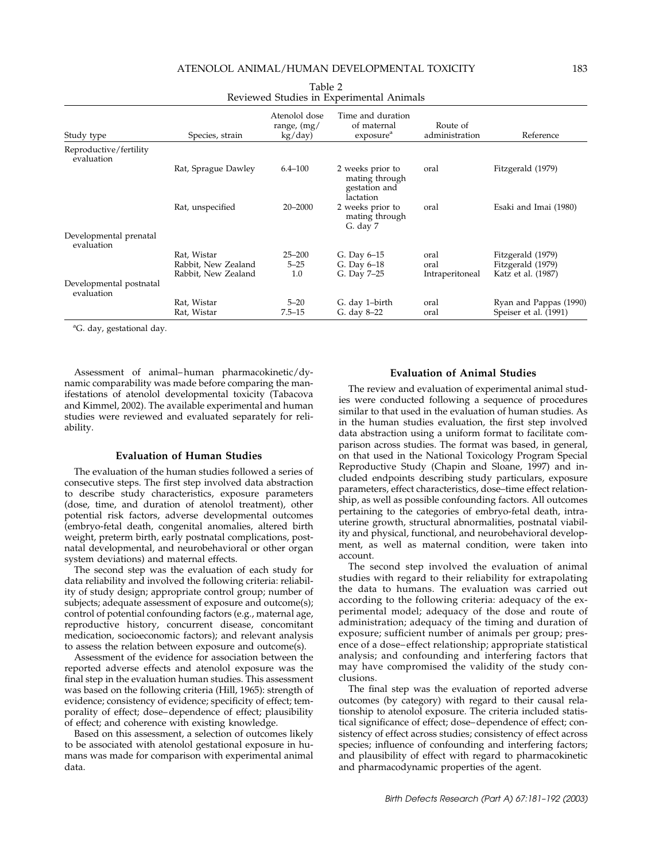| Study type                            | Species, strain            | Atenolol dose<br>range, $(mg)$<br>kg/day) | Time and duration<br>of maternal<br>exposure <sup>a</sup>        | Route of<br>administration | Reference                                       |
|---------------------------------------|----------------------------|-------------------------------------------|------------------------------------------------------------------|----------------------------|-------------------------------------------------|
| Reproductive/fertility<br>evaluation  |                            |                                           |                                                                  |                            |                                                 |
|                                       | Rat, Sprague Dawley        | $6.4 - 100$                               | 2 weeks prior to<br>mating through<br>gestation and<br>lactation | oral                       | Fitzgerald (1979)                               |
|                                       | Rat, unspecified           | $20 - 2000$                               | 2 weeks prior to<br>mating through<br>G. day 7                   | oral                       | Esaki and Imai (1980)                           |
| Developmental prenatal<br>evaluation  |                            |                                           |                                                                  |                            |                                                 |
|                                       | Rat, Wistar                | $25 - 200$                                | G. Day 6-15                                                      | oral                       | Fitzgerald (1979)                               |
|                                       | Rabbit, New Zealand        | $5 - 25$                                  | G. Day 6-18                                                      | oral                       | Fitzgerald (1979)                               |
|                                       | Rabbit, New Zealand        | $1.0\,$                                   | G. Day 7-25                                                      | Intraperitoneal            | Katz et al. (1987)                              |
| Developmental postnatal<br>evaluation |                            |                                           |                                                                  |                            |                                                 |
|                                       | Rat, Wistar<br>Rat, Wistar | $5 - 20$<br>$7.5 - 15$                    | G. day 1–birth<br>G. day 8–22                                    | oral<br>oral               | Ryan and Pappas (1990)<br>Speiser et al. (1991) |

| Table 2                                  |
|------------------------------------------|
| Reviewed Studies in Experimental Animals |

<sup>a</sup>G. day, gestational day.

Assessment of animal–human pharmacokinetic/dynamic comparability was made before comparing the manifestations of atenolol developmental toxicity (Tabacova and Kimmel, 2002). The available experimental and human studies were reviewed and evaluated separately for reliability.

#### **Evaluation of Human Studies**

The evaluation of the human studies followed a series of consecutive steps. The first step involved data abstraction to describe study characteristics, exposure parameters (dose, time, and duration of atenolol treatment), other potential risk factors, adverse developmental outcomes (embryo-fetal death, congenital anomalies, altered birth weight, preterm birth, early postnatal complications, postnatal developmental, and neurobehavioral or other organ system deviations) and maternal effects.

The second step was the evaluation of each study for data reliability and involved the following criteria: reliability of study design; appropriate control group; number of subjects; adequate assessment of exposure and outcome(s); control of potential confounding factors (e.g., maternal age, reproductive history, concurrent disease, concomitant medication, socioeconomic factors); and relevant analysis to assess the relation between exposure and outcome(s).

Assessment of the evidence for association between the reported adverse effects and atenolol exposure was the final step in the evaluation human studies. This assessment was based on the following criteria (Hill, 1965): strength of evidence; consistency of evidence; specificity of effect; temporality of effect; dose–dependence of effect; plausibility of effect; and coherence with existing knowledge.

Based on this assessment, a selection of outcomes likely to be associated with atenolol gestational exposure in humans was made for comparison with experimental animal data.

#### **Evaluation of Animal Studies**

The review and evaluation of experimental animal studies were conducted following a sequence of procedures similar to that used in the evaluation of human studies. As in the human studies evaluation, the first step involved data abstraction using a uniform format to facilitate comparison across studies. The format was based, in general, on that used in the National Toxicology Program Special Reproductive Study (Chapin and Sloane, 1997) and included endpoints describing study particulars, exposure parameters, effect characteristics, dose–time effect relationship, as well as possible confounding factors. All outcomes pertaining to the categories of embryo-fetal death, intrauterine growth, structural abnormalities, postnatal viability and physical, functional, and neurobehavioral development, as well as maternal condition, were taken into account.

The second step involved the evaluation of animal studies with regard to their reliability for extrapolating the data to humans. The evaluation was carried out according to the following criteria: adequacy of the experimental model; adequacy of the dose and route of administration; adequacy of the timing and duration of exposure; sufficient number of animals per group; presence of a dose– effect relationship; appropriate statistical analysis; and confounding and interfering factors that may have compromised the validity of the study conclusions.

The final step was the evaluation of reported adverse outcomes (by category) with regard to their causal relationship to atenolol exposure. The criteria included statistical significance of effect; dose–dependence of effect; consistency of effect across studies; consistency of effect across species; influence of confounding and interfering factors; and plausibility of effect with regard to pharmacokinetic and pharmacodynamic properties of the agent.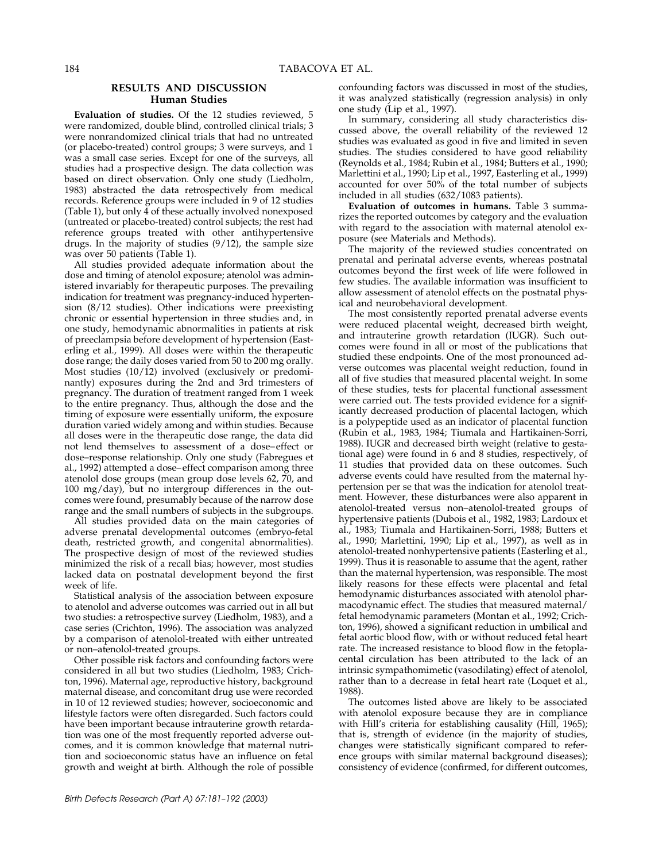## **RESULTS AND DISCUSSION Human Studies**

**Evaluation of studies.** Of the 12 studies reviewed, 5 were randomized, double blind, controlled clinical trials; 3 were nonrandomized clinical trials that had no untreated (or placebo-treated) control groups; 3 were surveys, and 1 was a small case series. Except for one of the surveys, all studies had a prospective design. The data collection was based on direct observation. Only one study (Liedholm, 1983) abstracted the data retrospectively from medical records. Reference groups were included in 9 of 12 studies (Table 1), but only 4 of these actually involved nonexposed (untreated or placebo-treated) control subjects; the rest had reference groups treated with other antihypertensive drugs. In the majority of studies (9/12), the sample size was over 50 patients (Table 1).

All studies provided adequate information about the dose and timing of atenolol exposure; atenolol was administered invariably for therapeutic purposes. The prevailing indication for treatment was pregnancy-induced hypertension (8/12 studies). Other indications were preexisting chronic or essential hypertension in three studies and, in one study, hemodynamic abnormalities in patients at risk of preeclampsia before development of hypertension (Easterling et al., 1999). All doses were within the therapeutic dose range; the daily doses varied from 50 to 200 mg orally. Most studies (10/12) involved (exclusively or predominantly) exposures during the 2nd and 3rd trimesters of pregnancy. The duration of treatment ranged from 1 week to the entire pregnancy. Thus, although the dose and the timing of exposure were essentially uniform, the exposure duration varied widely among and within studies. Because all doses were in the therapeutic dose range, the data did not lend themselves to assessment of a dose–effect or dose–response relationship. Only one study (Fabregues et al., 1992) attempted a dose–effect comparison among three atenolol dose groups (mean group dose levels 62, 70, and 100 mg/day), but no intergroup differences in the outcomes were found, presumably because of the narrow dose range and the small numbers of subjects in the subgroups.

All studies provided data on the main categories of adverse prenatal developmental outcomes (embryo-fetal death, restricted growth, and congenital abnormalities). The prospective design of most of the reviewed studies minimized the risk of a recall bias; however, most studies lacked data on postnatal development beyond the first week of life.

Statistical analysis of the association between exposure to atenolol and adverse outcomes was carried out in all but two studies: a retrospective survey (Liedholm, 1983), and a case series (Crichton, 1996). The association was analyzed by a comparison of atenolol-treated with either untreated or non–atenolol-treated groups.

Other possible risk factors and confounding factors were considered in all but two studies (Liedholm, 1983; Crichton, 1996). Maternal age, reproductive history, background maternal disease, and concomitant drug use were recorded in 10 of 12 reviewed studies; however, socioeconomic and lifestyle factors were often disregarded. Such factors could have been important because intrauterine growth retardation was one of the most frequently reported adverse outcomes, and it is common knowledge that maternal nutrition and socioeconomic status have an influence on fetal growth and weight at birth. Although the role of possible confounding factors was discussed in most of the studies, it was analyzed statistically (regression analysis) in only one study (Lip et al., 1997).

In summary, considering all study characteristics discussed above, the overall reliability of the reviewed 12 studies was evaluated as good in five and limited in seven studies. The studies considered to have good reliability (Reynolds et al., 1984; Rubin et al., 1984; Butters et al., 1990; Marlettini et al., 1990; Lip et al., 1997, Easterling et al., 1999) accounted for over 50% of the total number of subjects included in all studies (632/1083 patients).

**Evaluation of outcomes in humans.** Table 3 summarizes the reported outcomes by category and the evaluation with regard to the association with maternal atenolol exposure (see Materials and Methods).

The majority of the reviewed studies concentrated on prenatal and perinatal adverse events, whereas postnatal outcomes beyond the first week of life were followed in few studies. The available information was insufficient to allow assessment of atenolol effects on the postnatal physical and neurobehavioral development.

The most consistently reported prenatal adverse events were reduced placental weight, decreased birth weight, and intrauterine growth retardation (IUGR). Such outcomes were found in all or most of the publications that studied these endpoints. One of the most pronounced adverse outcomes was placental weight reduction, found in all of five studies that measured placental weight. In some of these studies, tests for placental functional assessment were carried out. The tests provided evidence for a significantly decreased production of placental lactogen, which is a polypeptide used as an indicator of placental function (Rubin et al., 1983, 1984; Tiumala and Hartikainen-Sorri, 1988). IUGR and decreased birth weight (relative to gestational age) were found in 6 and 8 studies, respectively, of 11 studies that provided data on these outcomes. Such adverse events could have resulted from the maternal hypertension per se that was the indication for atenolol treatment. However, these disturbances were also apparent in atenolol-treated versus non–atenolol-treated groups of hypertensive patients (Dubois et al., 1982, 1983; Lardoux et al., 1983; Tiumala and Hartikainen-Sorri, 1988; Butters et al., 1990; Marlettini, 1990; Lip et al., 1997), as well as in atenolol-treated nonhypertensive patients (Easterling et al., 1999). Thus it is reasonable to assume that the agent, rather than the maternal hypertension, was responsible. The most likely reasons for these effects were placental and fetal hemodynamic disturbances associated with atenolol pharmacodynamic effect. The studies that measured maternal/ fetal hemodynamic parameters (Montan et al., 1992; Crichton, 1996), showed a significant reduction in umbilical and fetal aortic blood flow, with or without reduced fetal heart rate. The increased resistance to blood flow in the fetoplacental circulation has been attributed to the lack of an intrinsic sympathomimetic (vasodilating) effect of atenolol, rather than to a decrease in fetal heart rate (Loquet et al., 1988).

The outcomes listed above are likely to be associated with atenolol exposure because they are in compliance with Hill's criteria for establishing causality (Hill, 1965); that is, strength of evidence (in the majority of studies, changes were statistically significant compared to reference groups with similar maternal background diseases); consistency of evidence (confirmed, for different outcomes,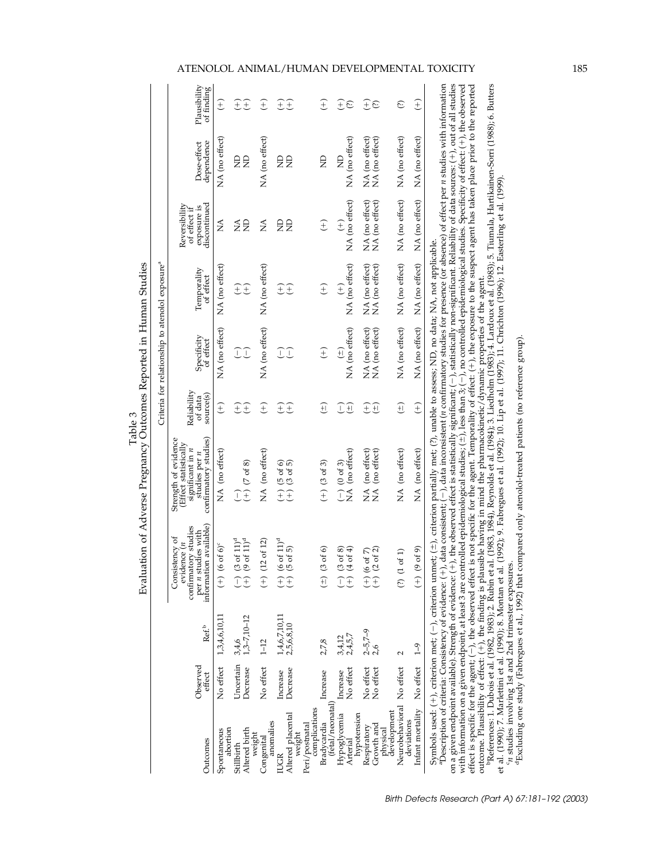|                                                                                                                                                                                    |                              |                             |                                                                                                                                                                                                                                                                                                                                                                                                                                                                                                                                                                                                                                                                                                                                                                                                                                                                                                                                                                                                                                                                                                                                                                                                                                                          | Evaluation of Adverse Pregnancy Outcomes Reported in Human Studies                                                                                                                                                                                           | Table 3                             |                                                             |                                  |                                                              |                                  |                            |
|------------------------------------------------------------------------------------------------------------------------------------------------------------------------------------|------------------------------|-----------------------------|----------------------------------------------------------------------------------------------------------------------------------------------------------------------------------------------------------------------------------------------------------------------------------------------------------------------------------------------------------------------------------------------------------------------------------------------------------------------------------------------------------------------------------------------------------------------------------------------------------------------------------------------------------------------------------------------------------------------------------------------------------------------------------------------------------------------------------------------------------------------------------------------------------------------------------------------------------------------------------------------------------------------------------------------------------------------------------------------------------------------------------------------------------------------------------------------------------------------------------------------------------|--------------------------------------------------------------------------------------------------------------------------------------------------------------------------------------------------------------------------------------------------------------|-------------------------------------|-------------------------------------------------------------|----------------------------------|--------------------------------------------------------------|----------------------------------|----------------------------|
|                                                                                                                                                                                    |                              |                             |                                                                                                                                                                                                                                                                                                                                                                                                                                                                                                                                                                                                                                                                                                                                                                                                                                                                                                                                                                                                                                                                                                                                                                                                                                                          |                                                                                                                                                                                                                                                              |                                     | Criteria for relationship to atenolol exposure <sup>ª</sup> |                                  |                                                              |                                  |                            |
| Outcomes                                                                                                                                                                           | Observed<br>$_{\rm{effect}}$ | Ref. <sup>b</sup>           | available)<br>confirmatory studies<br>per <i>n</i> studies with<br>Consistency of<br>$e$ vidence $(n$<br>information                                                                                                                                                                                                                                                                                                                                                                                                                                                                                                                                                                                                                                                                                                                                                                                                                                                                                                                                                                                                                                                                                                                                     | confirmatory studies)<br>Strength of evidence<br>(Effect statistically<br>significant in $n$<br>studies per $n$                                                                                                                                              | Reliability<br>source(s)<br>of data | Specificity<br>of effect                                    | Temporality<br>of effect         | discontinued<br>Reversibility<br>exposure is<br>of effect il | dependence<br>Dose-effect        | Plausibility<br>of finding |
| Spontaneous                                                                                                                                                                        | No effect                    | 1,3,4,6,10,11               | $(+)$ (6 of 6) <sup>c</sup>                                                                                                                                                                                                                                                                                                                                                                                                                                                                                                                                                                                                                                                                                                                                                                                                                                                                                                                                                                                                                                                                                                                                                                                                                              | NA (no effect)                                                                                                                                                                                                                                               | $\widehat{t}$                       | NA (no effect)                                              | NA (no effect)                   | ÁN                                                           | NA (no effect)                   | Ŧ                          |
| abortion<br>Altered birth<br>Stillbirth                                                                                                                                            | Uncertain<br>Decrease        | $1,3 - 7,10 - 12$<br>3,4,6  | (-) $(3 \text{ of } 11)^d$<br>(+) $(9 \text{ of } 11)^d$                                                                                                                                                                                                                                                                                                                                                                                                                                                                                                                                                                                                                                                                                                                                                                                                                                                                                                                                                                                                                                                                                                                                                                                                 | $(-)$ (7 of 8)                                                                                                                                                                                                                                               | $\widehat{t}$<br>$\widehat{t}$      | Û                                                           | Ŧ                                | ≨£                                                           | ₿ĝ                               | Ŧ<br>E                     |
| anomalies<br>weight<br>Congenital                                                                                                                                                  | No effect                    | $1 - 12$                    | of 12<br>$(+)$ (12                                                                                                                                                                                                                                                                                                                                                                                                                                                                                                                                                                                                                                                                                                                                                                                                                                                                                                                                                                                                                                                                                                                                                                                                                                       | NA (no effect)                                                                                                                                                                                                                                               | $\widehat{t}$                       | NA (no effect)                                              | NA (no effect)                   | Ź                                                            | NA (no effect)                   | Ŧ                          |
| Altered placental<br><b>IUGR</b>                                                                                                                                                   | Decrease<br>Increase         | 1,4,6,7,10,11<br>2,5,6,8,10 | $(6 \text{ of } 11)^d$<br>$(5 \text{ of } 5)$<br>$\widehat{t}$                                                                                                                                                                                                                                                                                                                                                                                                                                                                                                                                                                                                                                                                                                                                                                                                                                                                                                                                                                                                                                                                                                                                                                                           | $(5 \text{ of } 6)$<br>$(3 \text{ of } 5)$<br>$\widehat{f}$                                                                                                                                                                                                  | E<br>Ŧ                              | ÎÎ                                                          | ŦŦ                               | ₹₿                                                           | ₹₿                               | $\widehat{t}$<br>Ŧ         |
| complications<br>Peri/postnatal<br>weight                                                                                                                                          |                              |                             |                                                                                                                                                                                                                                                                                                                                                                                                                                                                                                                                                                                                                                                                                                                                                                                                                                                                                                                                                                                                                                                                                                                                                                                                                                                          |                                                                                                                                                                                                                                                              |                                     |                                                             |                                  |                                                              |                                  |                            |
| (fetal/neonatal)<br>Bradycardia                                                                                                                                                    | Increase                     | 2,7,8                       | $(\pm)$ (3 of 6)                                                                                                                                                                                                                                                                                                                                                                                                                                                                                                                                                                                                                                                                                                                                                                                                                                                                                                                                                                                                                                                                                                                                                                                                                                         | $(+)$ (3 of 3)                                                                                                                                                                                                                                               | $\widehat{H}$                       | $\widehat{t}$                                               | $\widehat{+}$                    | $\widehat{t}$                                                | g                                | Ŧ                          |
| Hypoglycemia<br>Arterial                                                                                                                                                           | No effect<br>Increase        | 2,4,5,7<br>3,4,12           | of $8)$<br>of $4)$<br>$\widehat{\omega}$<br>$\widehat{+}$                                                                                                                                                                                                                                                                                                                                                                                                                                                                                                                                                                                                                                                                                                                                                                                                                                                                                                                                                                                                                                                                                                                                                                                                | (no effect)<br>$(-)$ (0 of 3)<br>NA (no effec                                                                                                                                                                                                                | $\widehat{\pm}$<br>T                | NA (no effect)<br>$\widehat{\pm}$                           | NA (no effect)<br>$\widehat{t}$  | NA (no effect)<br>$\widehat{t}$                              | NA (no effect)<br>$\Xi$          | Ŧ<br>$\widehat{\in}$       |
| hypotension<br>Respiratory                                                                                                                                                         | No effect                    | $2 - 5,7 - 9$               |                                                                                                                                                                                                                                                                                                                                                                                                                                                                                                                                                                                                                                                                                                                                                                                                                                                                                                                                                                                                                                                                                                                                                                                                                                                          | (no effect)                                                                                                                                                                                                                                                  | Ŧ                                   |                                                             |                                  |                                                              |                                  | Ŧ                          |
| Growth and                                                                                                                                                                         | No effect                    |                             | $\begin{array}{c} (+) \; (6 \; \text{of} \; 7) \\ (+) \; (2 \; \text{of} \; 2) \end{array}$                                                                                                                                                                                                                                                                                                                                                                                                                                                                                                                                                                                                                                                                                                                                                                                                                                                                                                                                                                                                                                                                                                                                                              | (no effect)<br>≨≨                                                                                                                                                                                                                                            | $\widehat{\pm}$                     | NA (no effect)<br>NA (no effect)                            | NA (no effect)<br>NA (no effect) | NA (no effect)<br>NA (no effect)                             | NA (no effect)<br>NA (no effect) | $\widehat{c}$              |
| development<br>physical                                                                                                                                                            |                              |                             |                                                                                                                                                                                                                                                                                                                                                                                                                                                                                                                                                                                                                                                                                                                                                                                                                                                                                                                                                                                                                                                                                                                                                                                                                                                          |                                                                                                                                                                                                                                                              |                                     |                                                             |                                  |                                                              |                                  |                            |
| Neurobehavioral<br>deviations                                                                                                                                                      | No effect                    | 2                           | (?) (1 of 1)                                                                                                                                                                                                                                                                                                                                                                                                                                                                                                                                                                                                                                                                                                                                                                                                                                                                                                                                                                                                                                                                                                                                                                                                                                             | NA (no effect)                                                                                                                                                                                                                                               | $\widehat{t}$                       | NA (no effect)                                              | NA (no effect)                   | NA (no effect)                                               | NA (no effect)                   | $\widehat{c}$              |
| Infant mortality                                                                                                                                                                   | No effect                    | $^{9-1}$                    | $(+)$ (9 of 9)                                                                                                                                                                                                                                                                                                                                                                                                                                                                                                                                                                                                                                                                                                                                                                                                                                                                                                                                                                                                                                                                                                                                                                                                                                           | NA (no effect)                                                                                                                                                                                                                                               | $\widehat{t}$                       | NA (no effect)                                              | NA (no effect)                   | NA (no effect)                                               | NA (no effect)                   | $\widehat{+}$              |
| 'n studies involving 1st and 2nd trimester exposures.<br>on a given endpoint available). Strength of evidence: (+)<br>et al. (1990); 7. Marlettini et al. (1990); 8. Montan et al. |                              |                             | effect is specific for the agent; $(-)$ , the observed effect is not specific for the agent. Temporality of effect: $(+)$ , the exposure to the suspect agent has taken place prior to the reported<br>"References: 1. Dubois et al. (1982, 1983); 2. Rubin et al. (1983, 1984); Reynolds et al. (1984); 3. Liedbolm (1983); 4. Lardoux et al. (1983); 5. Tiumala, Hartikainen-Sorri (1988); 6. Butters<br>"Description of criteria: Consistency of evidence: (+), data consistent; (-), data inconsistent (n confirmatory studies for presence (or absence) of effect per n studies with information<br>with information on a given endpoint, at least 3 are controlled epidemiological studies; $(\pm)$ , less than 3; $(-)$ , no controlled epidemiological studies. Specificity of effect: $(+)$ , the observed<br>Symbols used: $(+)$ , criterion met; $(-)$ , criterion unmet; $(\pm)$ , criterion partially met; (?), unable to assess; ND, no data; NA, not applicable.<br>outcome. Plausibility of effect: $(+)$ , the finding is plausible having in mind the pharmacokinetic/dynamic properties of the agent.<br><sup>d</sup> Excluding one study (Fabregues et al., 1992) that compared only atenolol-treated patients (no reference group). | , the observed effect is statistically significant; (-), statistically non-significant. Reliability of data sources: (+), out of all studies<br>1992); 9. Fabregues et al. (1992); 10. Lip et al. (1997); 11. Chrichton (1996); 12. Easterling et al. (1999) |                                     |                                                             |                                  |                                                              |                                  |                            |

# ATENOLOL ANIMAL/HUMAN DEVELOPMENTAL TOXICITY 185

*Birth Defects Research (Part A) 67:181–192 (2003)*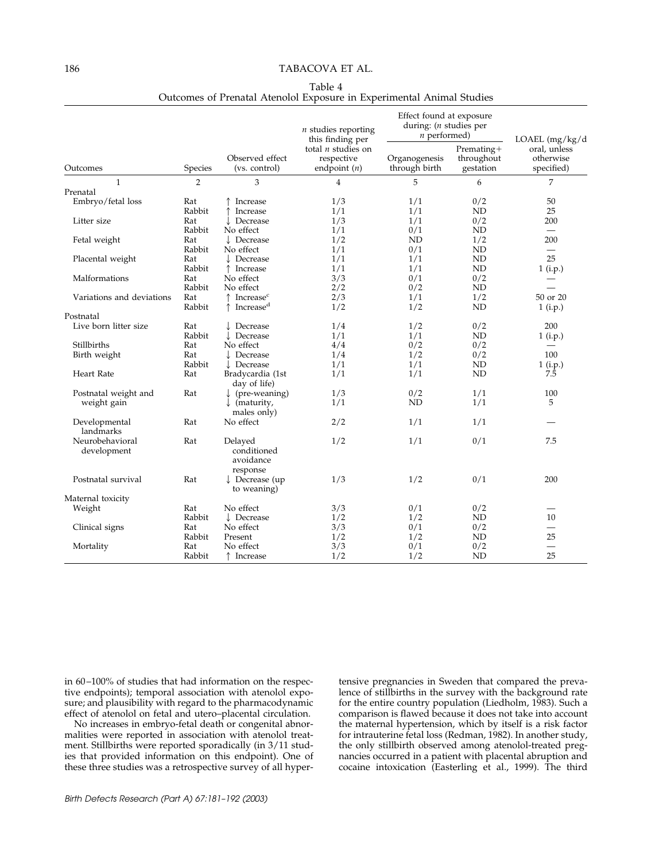|                                |                |                                                 | $n$ studies reporting<br>this finding per                 | Effect found at exposure<br>during: $(n \text{ studies per})$<br>$n$ performed) |                                       | LOAEL $(mg/kg/d)$                       |
|--------------------------------|----------------|-------------------------------------------------|-----------------------------------------------------------|---------------------------------------------------------------------------------|---------------------------------------|-----------------------------------------|
| Outcomes                       | Species        | Observed effect<br>(vs. control)                | total <i>n</i> studies on<br>respective<br>endpoint $(n)$ | Organogenesis<br>through birth                                                  | Premating+<br>throughout<br>gestation | oral, unless<br>otherwise<br>specified) |
| $\mathbf{1}$                   | $\overline{2}$ | 3                                               | $\overline{4}$                                            | 5                                                                               | 6                                     | 7                                       |
| Prenatal                       |                |                                                 |                                                           |                                                                                 |                                       |                                         |
| Embryo/fetal loss              | Rat            | Increase                                        | 1/3                                                       | 1/1                                                                             | 0/2                                   | 50                                      |
|                                | Rabbit         | Increase                                        | 1/1                                                       | 1/1                                                                             | ND                                    | 25                                      |
| Litter size                    | Rat            | ↓ Decrease                                      | 1/3                                                       | 1/1                                                                             | 0/2                                   | 200                                     |
|                                | Rabbit         | No effect                                       | 1/1                                                       | 0/1                                                                             | ND                                    |                                         |
| Fetal weight                   | Rat            | $\downarrow$ Decrease                           | 1/2                                                       | ND                                                                              | 1/2                                   | 200                                     |
|                                | Rabbit         | No effect                                       | 1/1                                                       | 0/1                                                                             | <b>ND</b>                             | $\hspace{0.05cm}$                       |
| Placental weight               | Rat            | $\downarrow$ Decrease                           | 1/1                                                       | 1/1                                                                             | <b>ND</b>                             | 25                                      |
|                                | Rabbit         | ↑ Increase                                      | 1/1                                                       | 1/1                                                                             | <b>ND</b>                             | 1(i.p.)                                 |
| Malformations                  | Rat            | No effect                                       | 3/3                                                       | 0/1                                                                             | 0/2                                   |                                         |
|                                | Rabbit         | No effect                                       | 2/2                                                       | 0/2                                                                             | ND                                    |                                         |
| Variations and deviations      | Rat            | $\uparrow$ Increase <sup>c</sup>                | 2/3                                                       | 1/1                                                                             | 1/2                                   | 50 or 20                                |
|                                | Rabbit         | ↑ Increase <sup>d</sup>                         | 1/2                                                       | 1/2                                                                             | ND                                    | 1 $(i.p.)$                              |
| Postnatal                      |                |                                                 |                                                           |                                                                                 |                                       |                                         |
| Live born litter size          | Rat            | ↓ Decrease                                      | 1/4                                                       | 1/2                                                                             | 0/2                                   | 200                                     |
|                                | Rabbit         | ↓ Decrease                                      | 1/1                                                       | 1/1                                                                             | <b>ND</b>                             | 1(i.p.)                                 |
| Stillbirths                    | Rat            | No effect                                       | 4/4                                                       | 0/2                                                                             | 0/2                                   |                                         |
| Birth weight                   | Rat            | $\downarrow$ Decrease                           | 1/4                                                       | 1/2                                                                             | 0/2                                   | 100                                     |
|                                | Rabbit         | $\downarrow$ Decrease                           | 1/1                                                       | 1/1                                                                             | <b>ND</b>                             | 1(i.p.)                                 |
| <b>Heart Rate</b>              | Rat            | Bradycardia (1st<br>day of life)                | 1/1                                                       | 1/1                                                                             | ND                                    | 7.5                                     |
| Postnatal weight and           | Rat            | $\downarrow$ (pre-weaning)                      | 1/3                                                       | 0/2                                                                             | 1/1                                   | 100                                     |
| weight gain                    |                | $\downarrow$ (maturity,<br>males only)          | 1/1                                                       | ND                                                                              | 1/1                                   | 5                                       |
| Developmental<br>landmarks     | Rat            | No effect                                       | 2/2                                                       | 1/1                                                                             | 1/1                                   |                                         |
| Neurobehavioral<br>development | Rat            | Delayed<br>conditioned<br>avoidance<br>response | 1/2                                                       | 1/1                                                                             | 0/1                                   | 7.5                                     |
| Postnatal survival             | Rat            | $\downarrow$ Decrease (up)<br>to weaning)       | 1/3                                                       | 1/2                                                                             | 0/1                                   | 200                                     |
| Maternal toxicity              |                |                                                 |                                                           |                                                                                 |                                       |                                         |
| Weight                         | Rat            | No effect                                       | 3/3                                                       | 0/1                                                                             | 0/2                                   |                                         |
|                                | Rabbit         | $\downarrow$ Decrease                           | 1/2                                                       | 1/2                                                                             | <b>ND</b>                             | 10                                      |
| Clinical signs                 | Rat            | No effect                                       | 3/3                                                       | 0/1                                                                             | 0/2                                   | $\overline{\phantom{0}}$                |
|                                | Rabbit         | Present                                         | 1/2                                                       | 1/2                                                                             | ND                                    | 25                                      |
| Mortality                      | Rat            | No effect                                       | 3/3                                                       | 0/1                                                                             | 0/2                                   |                                         |
|                                | Rabbit         | ↑ Increase                                      | 1/2                                                       | 1/2                                                                             | <b>ND</b>                             | 25                                      |

Table 4 Outcomes of Prenatal Atenolol Exposure in Experimental Animal Studies

in 60–100% of studies that had information on the respective endpoints); temporal association with atenolol exposure; and plausibility with regard to the pharmacodynamic effect of atenolol on fetal and utero–placental circulation.

No increases in embryo-fetal death or congenital abnormalities were reported in association with atenolol treatment. Stillbirths were reported sporadically (in 3/11 studies that provided information on this endpoint). One of these three studies was a retrospective survey of all hypertensive pregnancies in Sweden that compared the prevalence of stillbirths in the survey with the background rate for the entire country population (Liedholm, 1983). Such a comparison is flawed because it does not take into account the maternal hypertension, which by itself is a risk factor for intrauterine fetal loss (Redman, 1982). In another study, the only stillbirth observed among atenolol-treated pregnancies occurred in a patient with placental abruption and cocaine intoxication (Easterling et al., 1999). The third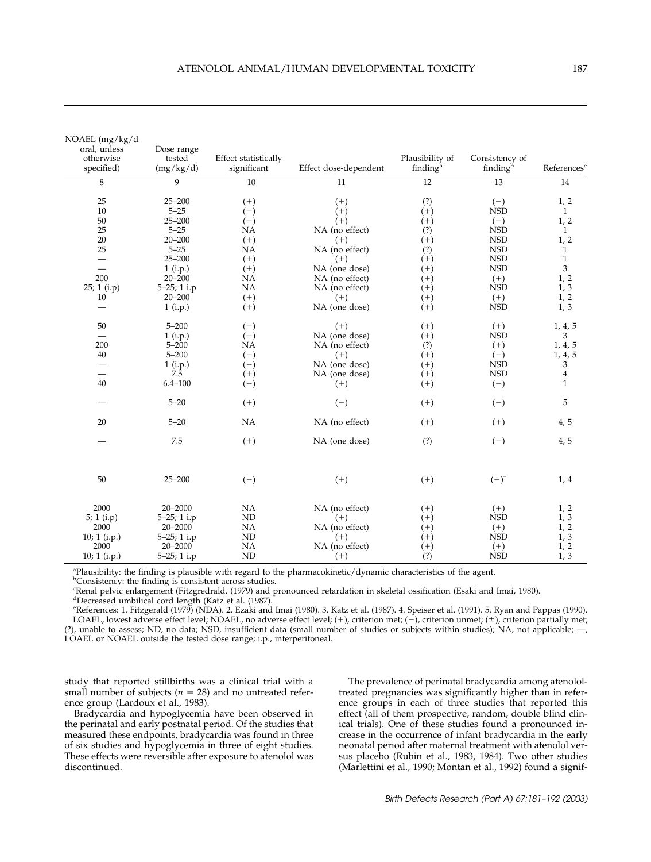| NOAEL (mg/kg/d<br>oral, unless<br>otherwise<br>specified)                     | Dose range<br>tested<br>(mg/kg/d)                                                                  | Effect statistically<br>significant                             | Effect dose-dependent                                                                        | Plausibility of<br>finding <sup>a</sup>                      | Consistency of<br>finding <sup>b</sup>                                               | Referencese                                                                          |
|-------------------------------------------------------------------------------|----------------------------------------------------------------------------------------------------|-----------------------------------------------------------------|----------------------------------------------------------------------------------------------|--------------------------------------------------------------|--------------------------------------------------------------------------------------|--------------------------------------------------------------------------------------|
| 8                                                                             | 9                                                                                                  | 10                                                              | 11                                                                                           | 12                                                           | 13                                                                                   | 14                                                                                   |
| 25<br>10<br>50<br>25<br>20<br>25<br>$\qquad \qquad$                           | $25 - 200$<br>$5 - 25$<br>$25 - 200$<br>$5 - 25$<br>$20 - 200$<br>$5 - 25$<br>$25 - 200$           | $(+)$<br>$(-)$<br>$(-)$<br>NA<br>$(+)$<br>NA<br>$(+)$           | $(+)$<br>$(+)$<br>$(+)$<br>NA (no effect)<br>$(+)$<br>NA (no effect)<br>$(+)$                | (?)<br>$(+)$<br>$(+)$<br>(?)<br>$(+)$<br>(?)<br>$(+)$        | $(-)$<br><b>NSD</b><br>$(-)$<br><b>NSD</b><br><b>NSD</b><br><b>NSD</b><br><b>NSD</b> | 1, 2<br>$\mathbf{1}$<br>1, 2<br>$\mathbf{1}$<br>1, 2<br>$\mathbf{1}$<br>$\mathbf{1}$ |
| $\equiv$<br>200<br>25; 1(i.p)<br>10<br>$\overline{\phantom{0}}$               | $1$ (i.p.)<br>$20 - 200$<br>$5 - 25$ ; 1 i.p<br>$20 - 200$<br>1 (i.p.)                             | $(+)$<br>NA<br>NA<br>$(+)$<br>$(+)$                             | NA (one dose)<br>NA (no effect)<br>NA (no effect)<br>$(+)$<br>NA (one dose)                  | $(+)$<br>$(+)$<br>$(+)$<br>$(+)$<br>$(+)$                    | <b>NSD</b><br>$(+)$<br><b>NSD</b><br>$(+)$<br><b>NSD</b>                             | 3<br>$1, 2$<br>1, 3<br>1, 2<br>1, 3                                                  |
| 50<br>200<br>40<br>$\overline{\phantom{0}}$<br>$\overline{\phantom{0}}$<br>40 | $5 - 200$<br>$1$ (i.p.)<br>$5 - 200$<br>$5 - 200$<br>1(i.p.)<br>$7.\overline{5}$<br>$6.4 - 100$    | $(-)$<br>$(-)$<br><b>NA</b><br>$(-)$<br>$(-)$<br>$(+)$<br>$(-)$ | $(+)$<br>NA (one dose)<br>NA (no effect)<br>$(+)$<br>NA (one dose)<br>NA (one dose)<br>$(+)$ | $(+)$<br>$(+)$<br>(?)<br>$(+)$<br>$(+)$<br>$(+)$<br>$^{(+)}$ | $(+)$<br><b>NSD</b><br>$(+)$<br>$(-)$<br><b>NSD</b><br><b>NSD</b><br>$(-)$           | 1, 4, 5<br>3<br>1, 4, 5<br>1, 4, 5<br>3<br>$\overline{4}$<br>$\mathbf{1}$            |
| $\overline{\phantom{0}}$                                                      | $5 - 20$                                                                                           | $(+)$                                                           | $(-)$                                                                                        | $(+)$                                                        | $(-)$                                                                                | 5                                                                                    |
| 20                                                                            | $5 - 20$                                                                                           | NA                                                              | NA (no effect)                                                                               | $(+)$                                                        | $(+)$                                                                                | 4, 5                                                                                 |
|                                                                               | 7.5                                                                                                | $(+)$                                                           | NA (one dose)                                                                                | (?)                                                          | $(-)$                                                                                | 4, 5                                                                                 |
| 50                                                                            | $25 - 200$                                                                                         | $(-)$                                                           | $(+)$                                                                                        | $(+)$                                                        | $(+)^{+}$                                                                            | 1, 4                                                                                 |
| 2000<br>5; 1(i.p)<br>2000<br>$10; 1$ (i.p.)<br>2000<br>$10; 1$ (i.p.)         | $20 - 2000$<br>$5 - 25$ ; 1 i.p<br>$20 - 2000$<br>$5-25; 1$ i.p<br>$20 - 2000$<br>$5 - 25$ ; 1 i.p | NA<br><b>ND</b><br><b>NA</b><br>ND<br><b>NA</b><br>ND           | NA (no effect)<br>$(+)$<br>NA (no effect)<br>$(+)$<br>NA (no effect)<br>$(+)$                | $(+)$<br>$(+)$<br>$(+)$<br>$(+)$<br>$(+)$<br>(?)             | $(+)$<br><b>NSD</b><br>$(+)$<br><b>NSD</b><br>$(+)$<br><b>NSD</b>                    | 1, 2<br>$1, 3$<br>$\begin{smallmatrix}1, 2\\1, 3\end{smallmatrix}$<br>1, 2<br>1, 3   |

<sup>a</sup>Plausibility: the finding is plausible with regard to the pharmacokinetic/dynamic characteristics of the agent.<br><sup>b</sup>Consistency: the finding is consistent across studies

 $b$ Consistency: the finding is consistent across studies.

Renal pelvic enlargement (Fitzgredrald, (1979) and pronounced retardation in skeletal ossification (Esaki and Imai, 1980).

Decreased umbilical cord length (Katz et al. (1987).

e References: 1. Fitzgerald (1979) (NDA). 2. Ezaki and Imai (1980). 3. Katz et al. (1987). 4. Speiser et al. (1991). 5. Ryan and Pappas (1990). LOAEL, lowest adverse effect level; NOAEL, no adverse effect level; (+), criterion met; (-), criterion unmet; (±), criterion partially met; (?), unable to assess; ND, no data; NSD, insufficient data (small number of studies or subjects within studies); NA, not applicable; —, LOAEL or NOAEL outside the tested dose range; i.p., interperitoneal.

study that reported stillbirths was a clinical trial with a small number of subjects ( $n = 28$ ) and no untreated reference group (Lardoux et al., 1983).

Bradycardia and hypoglycemia have been observed in the perinatal and early postnatal period. Of the studies that measured these endpoints, bradycardia was found in three of six studies and hypoglycemia in three of eight studies. These effects were reversible after exposure to atenolol was discontinued.

The prevalence of perinatal bradycardia among atenololtreated pregnancies was significantly higher than in reference groups in each of three studies that reported this effect (all of them prospective, random, double blind clinical trials). One of these studies found a pronounced increase in the occurrence of infant bradycardia in the early neonatal period after maternal treatment with atenolol versus placebo (Rubin et al., 1983, 1984). Two other studies (Marlettini et al., 1990; Montan et al., 1992) found a signif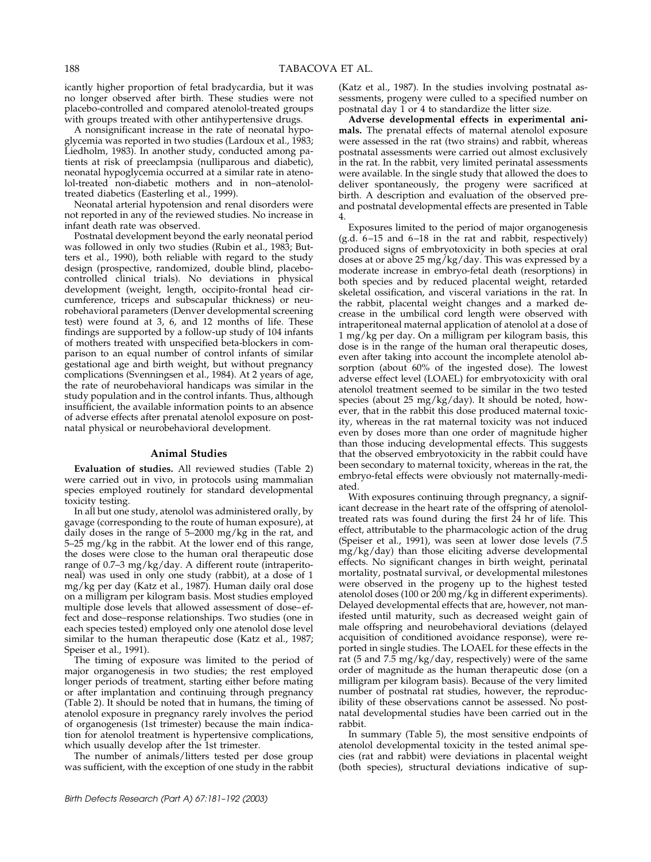icantly higher proportion of fetal bradycardia, but it was no longer observed after birth. These studies were not placebo-controlled and compared atenolol-treated groups with groups treated with other antihypertensive drugs.

A nonsignificant increase in the rate of neonatal hypoglycemia was reported in two studies (Lardoux et al., 1983; Liedholm, 1983). In another study, conducted among patients at risk of preeclampsia (nulliparous and diabetic), neonatal hypoglycemia occurred at a similar rate in atenolol-treated non-diabetic mothers and in non–atenololtreated diabetics (Easterling et al., 1999).

Neonatal arterial hypotension and renal disorders were not reported in any of the reviewed studies. No increase in infant death rate was observed.

Postnatal development beyond the early neonatal period was followed in only two studies (Rubin et al., 1983; Butters et al., 1990), both reliable with regard to the study design (prospective, randomized, double blind, placebocontrolled clinical trials). No deviations in physical development (weight, length, occipito-frontal head circumference, triceps and subscapular thickness) or neurobehavioral parameters (Denver developmental screening test) were found at 3, 6, and 12 months of life. These findings are supported by a follow-up study of 104 infants of mothers treated with unspecified beta-blockers in comparison to an equal number of control infants of similar gestational age and birth weight, but without pregnancy complications (Svenningsen et al., 1984). At 2 years of age, the rate of neurobehavioral handicaps was similar in the study population and in the control infants. Thus, although insufficient, the available information points to an absence of adverse effects after prenatal atenolol exposure on postnatal physical or neurobehavioral development.

#### **Animal Studies**

**Evaluation of studies.** All reviewed studies (Table 2) were carried out in vivo, in protocols using mammalian species employed routinely for standard developmental toxicity testing.

In all but one study, atenolol was administered orally, by gavage (corresponding to the route of human exposure), at daily doses in the range of 5–2000 mg/kg in the rat, and 5–25 mg/kg in the rabbit. At the lower end of this range, the doses were close to the human oral therapeutic dose range of 0.7–3 mg/kg/day. A different route (intraperitoneal) was used in only one study (rabbit), at a dose of 1 mg/kg per day (Katz et al., 1987). Human daily oral dose on a milligram per kilogram basis. Most studies employed multiple dose levels that allowed assessment of dose–effect and dose–response relationships. Two studies (one in each species tested) employed only one atenolol dose level similar to the human therapeutic dose (Katz et al., 1987; Speiser et al., 1991).

The timing of exposure was limited to the period of major organogenesis in two studies; the rest employed longer periods of treatment, starting either before mating or after implantation and continuing through pregnancy (Table 2). It should be noted that in humans, the timing of atenolol exposure in pregnancy rarely involves the period of organogenesis (1st trimester) because the main indication for atenolol treatment is hypertensive complications, which usually develop after the 1st trimester.

The number of animals/litters tested per dose group was sufficient, with the exception of one study in the rabbit

*Birth Defects Research (Part A) 67:181–192 (2003)*

(Katz et al., 1987). In the studies involving postnatal assessments, progeny were culled to a specified number on postnatal day 1 or 4 to standardize the litter size.

**Adverse developmental effects in experimental animals.** The prenatal effects of maternal atenolol exposure were assessed in the rat (two strains) and rabbit, whereas postnatal assessments were carried out almost exclusively in the rat. In the rabbit, very limited perinatal assessments were available. In the single study that allowed the does to deliver spontaneously, the progeny were sacrificed at birth. A description and evaluation of the observed preand postnatal developmental effects are presented in Table 4.

Exposures limited to the period of major organogenesis (g.d. 6–15 and 6–18 in the rat and rabbit, respectively) produced signs of embryotoxicity in both species at oral doses at or above 25 mg/kg/day. This was expressed by a moderate increase in embryo-fetal death (resorptions) in both species and by reduced placental weight, retarded skeletal ossification, and visceral variations in the rat. In the rabbit, placental weight changes and a marked decrease in the umbilical cord length were observed with intraperitoneal maternal application of atenolol at a dose of 1 mg/kg per day. On a milligram per kilogram basis, this dose is in the range of the human oral therapeutic doses, even after taking into account the incomplete atenolol absorption (about 60% of the ingested dose). The lowest adverse effect level (LOAEL) for embryotoxicity with oral atenolol treatment seemed to be similar in the two tested species (about 25 mg/kg/day). It should be noted, however, that in the rabbit this dose produced maternal toxicity, whereas in the rat maternal toxicity was not induced even by doses more than one order of magnitude higher than those inducing developmental effects. This suggests that the observed embryotoxicity in the rabbit could have been secondary to maternal toxicity, whereas in the rat, the embryo-fetal effects were obviously not maternally-mediated.

With exposures continuing through pregnancy, a significant decrease in the heart rate of the offspring of atenololtreated rats was found during the first 24 hr of life. This effect, attributable to the pharmacologic action of the drug (Speiser et al., 1991), was seen at lower dose levels (7.5 mg/kg/day) than those eliciting adverse developmental effects. No significant changes in birth weight, perinatal mortality, postnatal survival, or developmental milestones were observed in the progeny up to the highest tested atenolol doses (100 or 200 mg/kg in different experiments). Delayed developmental effects that are, however, not manifested until maturity, such as decreased weight gain of male offspring and neurobehavioral deviations (delayed acquisition of conditioned avoidance response), were reported in single studies. The LOAEL for these effects in the rat (5 and 7.5 mg/kg/day, respectively) were of the same order of magnitude as the human therapeutic dose (on a milligram per kilogram basis). Because of the very limited number of postnatal rat studies, however, the reproducibility of these observations cannot be assessed. No postnatal developmental studies have been carried out in the rabbit.

In summary (Table 5), the most sensitive endpoints of atenolol developmental toxicity in the tested animal species (rat and rabbit) were deviations in placental weight (both species), structural deviations indicative of sup-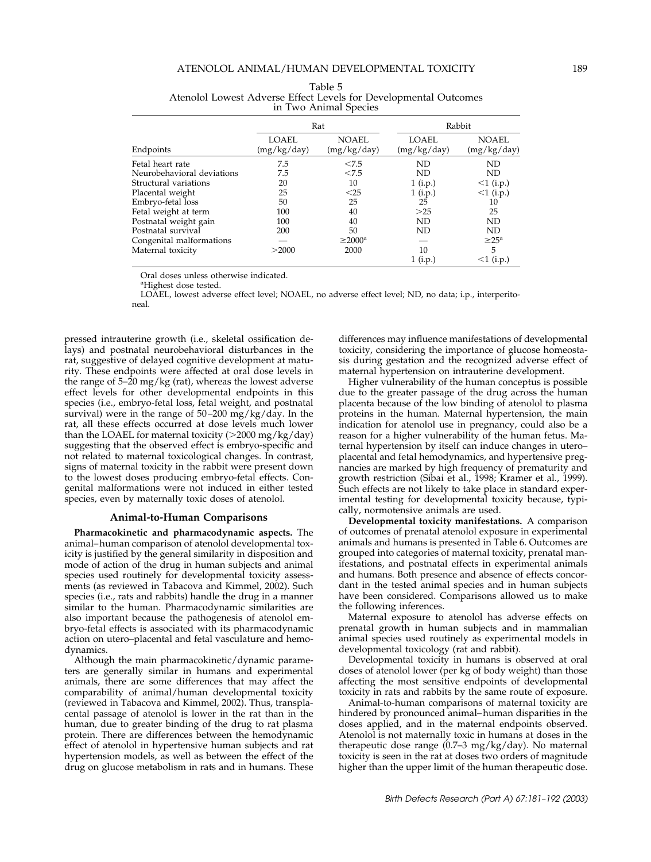| Table 5                                                          |  |
|------------------------------------------------------------------|--|
| Atenolol Lowest Adverse Effect Levels for Developmental Outcomes |  |
| in Two Animal Species                                            |  |

|                            |                      | Rat                         |                      | Rabbit                      |  |
|----------------------------|----------------------|-----------------------------|----------------------|-----------------------------|--|
| Endpoints                  | LOAEL<br>(mg/kg/day) | <b>NOAEL</b><br>(mg/kg/day) | LOAEL<br>(mg/kg/day) | <b>NOAEL</b><br>(mg/kg/day) |  |
| Fetal heart rate           | 7.5                  | < 7.5                       | ND                   | ND                          |  |
| Neurobehavioral deviations | 7.5                  | < 7.5                       | ND                   | ND                          |  |
| Structural variations      | 20                   | 10                          | 1(i.p.)              | $<1$ (i.p.)                 |  |
| Placental weight           | 25                   | $<$ 25                      | 1 (i.p.)             | $<1$ (i.p.)                 |  |
| Embryo-fetal loss          | 50                   | 25                          | 25                   | 10                          |  |
| Fetal weight at term       | 100                  | 40                          | $>25$                | 25                          |  |
| Postnatal weight gain      | 100                  | 40                          | ND                   | ND                          |  |
| Postnatal survival         | 200                  | 50                          | ND                   | ND                          |  |
| Congenital malformations   |                      | $\geq$ 2000 <sup>a</sup>    |                      | $\geq 25^{\circ}$           |  |
| Maternal toxicity          | >2000                | 2000                        | 10                   | 5                           |  |
|                            |                      |                             | 1(i.p.)              | $<1$ (i.p.)                 |  |

Oral doses unless otherwise indicated.

<sup>a</sup>Highest dose tested.

LOAEL, lowest adverse effect level; NOAEL, no adverse effect level; ND, no data; i.p., interperitoneal.

pressed intrauterine growth (i.e., skeletal ossification delays) and postnatal neurobehavioral disturbances in the rat, suggestive of delayed cognitive development at maturity. These endpoints were affected at oral dose levels in the range of 5–20 mg/kg (rat), whereas the lowest adverse effect levels for other developmental endpoints in this species (i.e., embryo-fetal loss, fetal weight, and postnatal survival) were in the range of 50–200 mg/kg/day. In the rat, all these effects occurred at dose levels much lower than the LOAEL for maternal toxicity  $(>2000 \text{ mg/kg/day})$ suggesting that the observed effect is embryo-specific and not related to maternal toxicological changes. In contrast, signs of maternal toxicity in the rabbit were present down to the lowest doses producing embryo-fetal effects. Congenital malformations were not induced in either tested species, even by maternally toxic doses of atenolol.

#### **Animal-to-Human Comparisons**

**Pharmacokinetic and pharmacodynamic aspects.** The animal–human comparison of atenolol developmental toxicity is justified by the general similarity in disposition and mode of action of the drug in human subjects and animal species used routinely for developmental toxicity assessments (as reviewed in Tabacova and Kimmel, 2002). Such species (i.e., rats and rabbits) handle the drug in a manner similar to the human. Pharmacodynamic similarities are also important because the pathogenesis of atenolol embryo-fetal effects is associated with its pharmacodynamic action on utero–placental and fetal vasculature and hemodynamics.

Although the main pharmacokinetic/dynamic parameters are generally similar in humans and experimental animals, there are some differences that may affect the comparability of animal/human developmental toxicity (reviewed in Tabacova and Kimmel, 2002). Thus, transplacental passage of atenolol is lower in the rat than in the human, due to greater binding of the drug to rat plasma protein. There are differences between the hemodynamic effect of atenolol in hypertensive human subjects and rat hypertension models, as well as between the effect of the drug on glucose metabolism in rats and in humans. These differences may influence manifestations of developmental toxicity, considering the importance of glucose homeostasis during gestation and the recognized adverse effect of maternal hypertension on intrauterine development.

Higher vulnerability of the human conceptus is possible due to the greater passage of the drug across the human placenta because of the low binding of atenolol to plasma proteins in the human. Maternal hypertension, the main indication for atenolol use in pregnancy, could also be a reason for a higher vulnerability of the human fetus. Maternal hypertension by itself can induce changes in utero– placental and fetal hemodynamics, and hypertensive pregnancies are marked by high frequency of prematurity and growth restriction (Sibai et al., 1998; Kramer et al., 1999). Such effects are not likely to take place in standard experimental testing for developmental toxicity because, typically, normotensive animals are used.

**Developmental toxicity manifestations.** A comparison of outcomes of prenatal atenolol exposure in experimental animals and humans is presented in Table 6. Outcomes are grouped into categories of maternal toxicity, prenatal manifestations, and postnatal effects in experimental animals and humans. Both presence and absence of effects concordant in the tested animal species and in human subjects have been considered. Comparisons allowed us to make the following inferences.

Maternal exposure to atenolol has adverse effects on prenatal growth in human subjects and in mammalian animal species used routinely as experimental models in developmental toxicology (rat and rabbit).

Developmental toxicity in humans is observed at oral doses of atenolol lower (per kg of body weight) than those affecting the most sensitive endpoints of developmental toxicity in rats and rabbits by the same route of exposure.

Animal-to-human comparisons of maternal toxicity are hindered by pronounced animal–human disparities in the doses applied, and in the maternal endpoints observed. Atenolol is not maternally toxic in humans at doses in the therapeutic dose range (0.7–3 mg/kg/day). No maternal toxicity is seen in the rat at doses two orders of magnitude higher than the upper limit of the human therapeutic dose.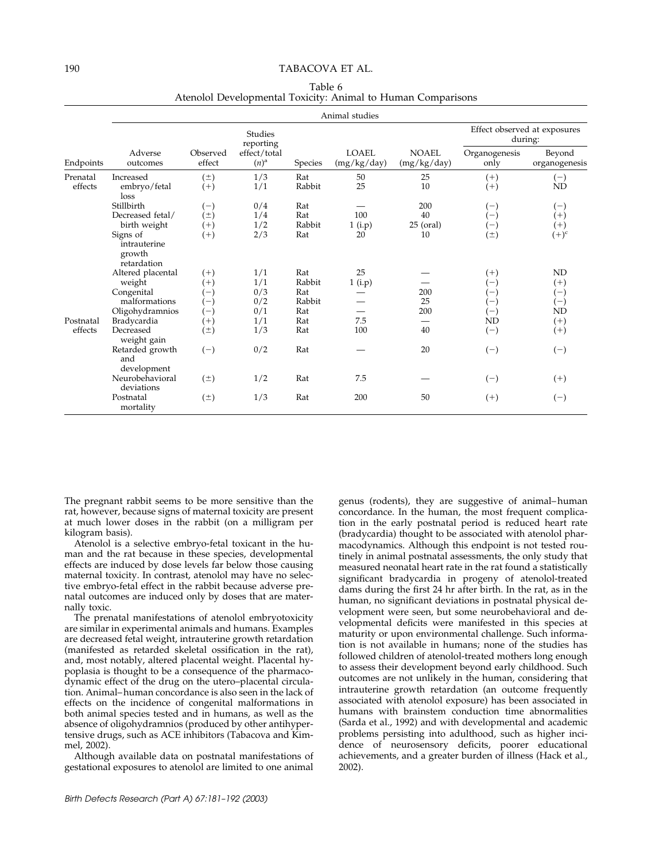|                     |                                       |                        |                                    |               | Animal studies              |                             |                                         |                         |
|---------------------|---------------------------------------|------------------------|------------------------------------|---------------|-----------------------------|-----------------------------|-----------------------------------------|-------------------------|
|                     |                                       |                        | <b>Studies</b><br>reporting        |               |                             |                             | Effect observed at exposures<br>during: |                         |
| Endpoints           | Adverse<br>outcomes                   | Observed<br>effect     | effect/total<br>$(n)$ <sup>a</sup> | Species       | <b>LOAEL</b><br>(mg/kg/day) | <b>NOAEL</b><br>(mg/kg/day) | Organogenesis<br>only                   | Beyond<br>organogenesis |
| Prenatal<br>effects | Increased<br>embryo/fetal<br>loss     | $(\pm)$<br>$^{(+)}$    | 1/3<br>1/1                         | Rat<br>Rabbit | 50<br>25                    | 25<br>10                    | $(+)$<br>$^{(+)}$                       | $(-)$<br><b>ND</b>      |
|                     | Stillbirth<br>Decreased fetal/        | $(-)$<br>$(\pm)$       | 0/4<br>1/4                         | Rat<br>Rat    | 100                         | 200<br>40                   | $(-)$<br>$(-)$                          | $(-)$<br>$^{(+)}$       |
|                     | birth weight<br>Signs of              | $^{(+)}$<br>$(+)$      | 1/2<br>2/3                         | Rabbit<br>Rat | 1(i.p)<br>20                | $25$ (oral)<br>10           | $(-)$<br>$(\pm)$                        | $^{(+)}$<br>$(+)^c$     |
|                     | intrauterine<br>growth<br>retardation |                        |                                    |               |                             |                             |                                         |                         |
|                     | Altered placental<br>weight           | $(+)$<br>$(+)$         | 1/1<br>1/1                         | Rat<br>Rabbit | 25<br>1(i.p)                |                             | $(+)$<br>$\left( -\right)$              | <b>ND</b><br>$^{(+)}$   |
|                     | Congenital<br>malformations           | $^{\sim}$<br>$^{\sim}$ | 0/3<br>0/2                         | Rat<br>Rabbit |                             | 200<br>25                   | $\left( -\right)$<br>$\equiv$           | $(-)$<br>$(-)$          |
| Postnatal           | Oligohydramnios<br>Bradycardia        | $(-)$<br>$(+)$         | 0/1<br>1/1                         | Rat<br>Rat    | 7.5                         | 200                         | $(-)$<br><b>ND</b>                      | ND<br>$(+)$             |
| effects             | Decreased<br>weight gain              | $(\pm)$                | 1/3                                | Rat           | 100                         | 40                          | $(-)$                                   | $(+)$                   |
|                     | Retarded growth<br>and<br>development | $(-)$                  | 0/2                                | Rat           |                             | 20                          | $(-)$                                   | $(-)$                   |
|                     | Neurobehavioral<br>deviations         | $(\pm)$                | 1/2                                | Rat           | 7.5                         |                             | $(-)$                                   | $^{(+)}$                |
|                     | Postnatal<br>mortality                | $(\pm)$                | 1/3                                | Rat           | 200                         | 50                          | $^{(+)}$                                | $(-)$                   |

Table 6 Atenolol Developmental Toxicity: Animal to Human Comparisons

The pregnant rabbit seems to be more sensitive than the rat, however, because signs of maternal toxicity are present at much lower doses in the rabbit (on a milligram per kilogram basis).

Atenolol is a selective embryo-fetal toxicant in the human and the rat because in these species, developmental effects are induced by dose levels far below those causing maternal toxicity. In contrast, atenolol may have no selective embryo-fetal effect in the rabbit because adverse prenatal outcomes are induced only by doses that are maternally toxic.

The prenatal manifestations of atenolol embryotoxicity are similar in experimental animals and humans. Examples are decreased fetal weight, intrauterine growth retardation (manifested as retarded skeletal ossification in the rat), and, most notably, altered placental weight. Placental hypoplasia is thought to be a consequence of the pharmacodynamic effect of the drug on the utero–placental circulation. Animal–human concordance is also seen in the lack of effects on the incidence of congenital malformations in both animal species tested and in humans, as well as the absence of oligohydramnios (produced by other antihypertensive drugs, such as ACE inhibitors (Tabacova and Kimmel, 2002).

Although available data on postnatal manifestations of gestational exposures to atenolol are limited to one animal genus (rodents), they are suggestive of animal–human concordance. In the human, the most frequent complication in the early postnatal period is reduced heart rate (bradycardia) thought to be associated with atenolol pharmacodynamics. Although this endpoint is not tested routinely in animal postnatal assessments, the only study that measured neonatal heart rate in the rat found a statistically significant bradycardia in progeny of atenolol-treated dams during the first 24 hr after birth. In the rat, as in the human, no significant deviations in postnatal physical development were seen, but some neurobehavioral and developmental deficits were manifested in this species at maturity or upon environmental challenge. Such information is not available in humans; none of the studies has followed children of atenolol-treated mothers long enough to assess their development beyond early childhood. Such outcomes are not unlikely in the human, considering that intrauterine growth retardation (an outcome frequently associated with atenolol exposure) has been associated in humans with brainstem conduction time abnormalities (Sarda et al., 1992) and with developmental and academic problems persisting into adulthood, such as higher incidence of neurosensory deficits, poorer educational achievements, and a greater burden of illness (Hack et al., 2002).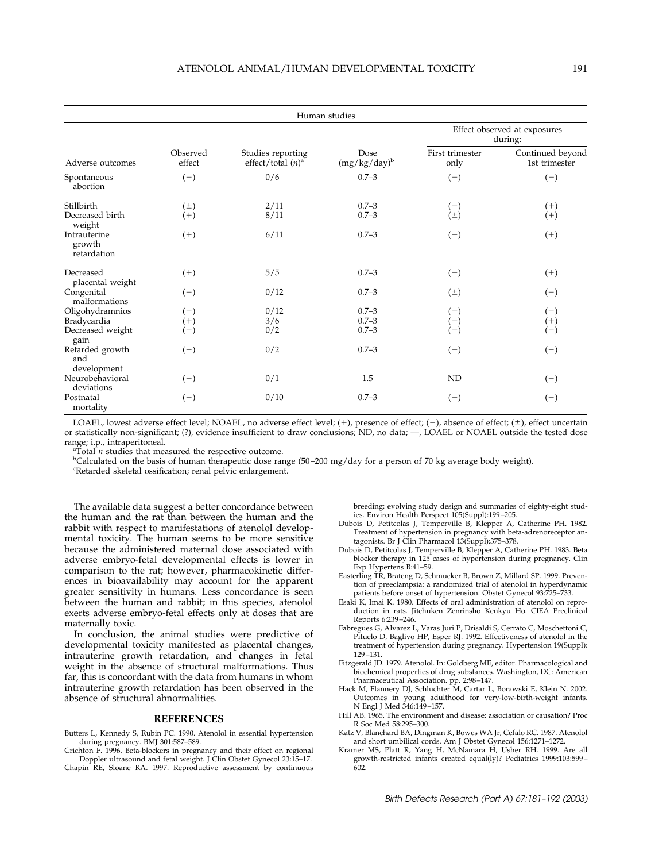|                                       |                    |                                           | Human studies           |                                         |                                   |  |
|---------------------------------------|--------------------|-------------------------------------------|-------------------------|-----------------------------------------|-----------------------------------|--|
|                                       |                    |                                           |                         | Effect observed at exposures<br>during: |                                   |  |
| Adverse outcomes                      | Observed<br>effect | Studies reporting<br>effect/total $(n)^a$ | Dose<br>$(mg/kg/day)^b$ | First trimester<br>only                 | Continued beyond<br>1st trimester |  |
| Spontaneous<br>abortion               | $(-)$              | 0/6                                       | $0.7 - 3$               | $(-)$                                   | $(-)$                             |  |
| Stillbirth                            | $(\pm)$            | 2/11                                      | $0.7 - 3$               | $(-)$                                   | $^{(+)}$                          |  |
| Decreased birth<br>weight             | $^{(+)}$           | 8/11                                      | $0.7 - 3$               | $(\pm)$                                 | $(+)$                             |  |
| Intrauterine<br>growth<br>retardation | $(+)$              | 6/11                                      | $0.7 - 3$               | $(-)$                                   | $(+)$                             |  |
| Decreased<br>placental weight         | $(+)$              | 5/5                                       | $0.7 - 3$               | $(-)$                                   | $(+)$                             |  |
| Congenital<br>malformations           | $(-)$              | 0/12                                      | $0.7 - 3$               | $(\pm)$                                 | $(-)$                             |  |
| Oligohydramnios                       | $(-)$              | 0/12                                      | $0.7 - 3$               | $(-)$                                   | $(-)$                             |  |
| Bradycardia                           | $(+)$              | 3/6                                       | $0.7 - 3$               | $(-)$                                   | $^{(+)}$                          |  |
| Decreased weight<br>gain              | $(-)$              | 0/2                                       | $0.7 - 3$               | $(-)$                                   | $(-)$                             |  |
| Retarded growth<br>and<br>development | $(-)$              | 0/2                                       | $0.7 - 3$               | $(-)$                                   | $(-)$                             |  |
| Neurobehavioral<br>deviations         | $(-)$              | 0/1                                       | 1.5                     | <b>ND</b>                               | $(-)$                             |  |
| Postnatal<br>mortality                | $(-)$              | 0/10                                      | $0.7 - 3$               | $(-)$                                   | $(-)$                             |  |

LOAEL, lowest adverse effect level; NOAEL, no adverse effect level;  $(+)$ , presence of effect;  $(-)$ , absence of effect;  $(\pm)$ , effect uncertain or statistically non-significant; (?), evidence insufficient to draw conclusions; ND, no data; —, LOAEL or NOAEL outside the tested dose range; i.p., intraperitoneal.

 $\frac{1}{\pi}$  otal *n* studies that measured the respective outcome.

 $b$ Calculated on the basis of human therapeutic dose range (50–200 mg/day for a person of 70 kg average body weight).

Retarded skeletal ossification; renal pelvic enlargement.

The available data suggest a better concordance between the human and the rat than between the human and the rabbit with respect to manifestations of atenolol developmental toxicity. The human seems to be more sensitive because the administered maternal dose associated with adverse embryo-fetal developmental effects is lower in comparison to the rat; however, pharmacokinetic differences in bioavailability may account for the apparent greater sensitivity in humans. Less concordance is seen between the human and rabbit; in this species, atenolol exerts adverse embryo-fetal effects only at doses that are maternally toxic.

In conclusion, the animal studies were predictive of developmental toxicity manifested as placental changes, intrauterine growth retardation, and changes in fetal weight in the absence of structural malformations. Thus far, this is concordant with the data from humans in whom intrauterine growth retardation has been observed in the absence of structural abnormalities.

#### **REFERENCES**

Butters L, Kennedy S, Rubin PC. 1990. Atenolol in essential hypertension during pregnancy. BMJ 301:587–589.

Crichton F. 1996. Beta-blockers in pregnancy and their effect on regional Doppler ultrasound and fetal weight. J Clin Obstet Gynecol 23:15–17. Chapin RE, Sloane RA. 1997. Reproductive assessment by continuous breeding: evolving study design and summaries of eighty-eight studies. Environ Health Perspect 105(Suppl):199–205.

- Dubois D, Petitcolas J, Temperville B, Klepper A, Catherine PH. 1982. Treatment of hypertension in pregnancy with beta-adrenoreceptor antagonists. Br J Clin Pharmacol 13(Suppl):375–378.
- Dubois D, Petitcolas J, Temperville B, Klepper A, Catherine PH. 1983. Beta blocker therapy in 125 cases of hypertension during pregnancy. Clin Exp Hypertens B:41–59.
- Easterling TR, Brateng D, Schmucker B, Brown Z, Millard SP. 1999. Prevention of preeclampsia: a randomized trial of atenolol in hyperdynamic patients before onset of hypertension. Obstet Gynecol 93:725–733.
- Esaki K, Imai K. 1980. Effects of oral administration of atenolol on reproduction in rats. Jitchuken Zenrinsho Kenkyu Ho. CIEA Preclinical Reports 6:239–246.
- Fabregues G, Alvarez L, Varas Juri P, Drisaldi S, Cerrato C, Moschettoni C, Pituelo D, Baglivo HP, Esper RJ. 1992. Effectiveness of atenolol in the treatment of hypertension during pregnancy. Hypertension 19(Suppl): 129–131.
- Fitzgerald JD. 1979. Atenolol. In: Goldberg ME, editor. Pharmacological and biochemical properties of drug substances. Washington, DC: American Pharmaceutical Association. pp. 2:98–147.
- Hack M, Flannery DJ, Schluchter M, Cartar L, Borawski E, Klein N. 2002. Outcomes in young adulthood for very-low-birth-weight infants. N Engl J Med 346:149–157.
- Hill AB. 1965. The environment and disease: association or causation? Proc R Soc Med 58:295–300.
- Katz V, Blanchard BA, Dingman K, Bowes WA Jr, Cefalo RC. 1987. Atenolol and short umbilical cords. Am J Obstet Gynecol 156:1271–1272.
- Kramer MS, Platt R, Yang H, McNamara H, Usher RH. 1999. Are all growth-restricted infants created equal(ly)? Pediatrics 1999:103:599– 602.